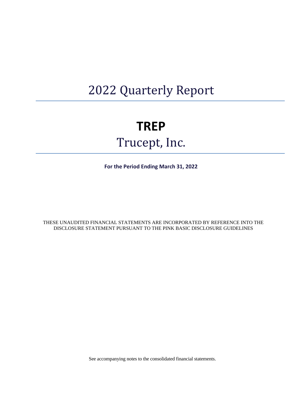# 2022 Quarterly Report

# **TREP**  Trucept, Inc.

**For the Period Ending March 31, 2022**

THESE UNAUDITED FINANCIAL STATEMENTS ARE INCORPORATED BY REFERENCE INTO THE DISCLOSURE STATEMENT PURSUANT TO THE PINK BASIC DISCLOSURE GUIDELINES

See accompanying notes to the consolidated financial statements.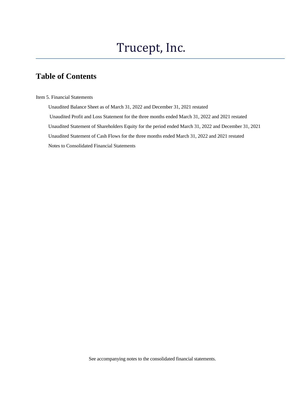# Trucept, Inc.

# **Table of Contents**

Item 5. Financial Statements

 Unaudited Balance Sheet as of March 31, 2022 and December 31, 2021 restated Unaudited Profit and Loss Statement for the three months ended March 31, 2022 and 2021 restated Unaudited Statement of Shareholders Equity for the period ended March 31, 2022 and December 31, 2021 Unaudited Statement of Cash Flows for the three months ended March 31, 2022 and 2021 restated Notes to Consolidated Financial Statements

See accompanying notes to the consolidated financial statements.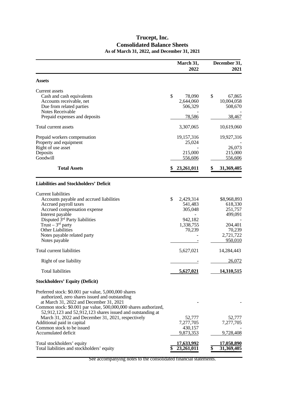# **Trucept, Inc. Consolidated Balance Sheets As of March 31, 2022, and December 31, 2021**

l

|                                                                                                            | March 31,<br>2022 | December 31,<br>2021 |
|------------------------------------------------------------------------------------------------------------|-------------------|----------------------|
| <b>Assets</b>                                                                                              |                   |                      |
| Current assets                                                                                             |                   |                      |
| Cash and cash equivalents                                                                                  | \$<br>78,090      | \$<br>67,865         |
| Accounts receivable, net                                                                                   | 2,644,060         | 10,004,058           |
| Due from related parties                                                                                   | 506,329           | 508,670              |
| Notes Receivable                                                                                           |                   |                      |
| Prepaid expenses and deposits                                                                              | 78,586            | 38,467               |
| Total current assets                                                                                       | 3,307,065         | 10,619,060           |
| Prepaid workers compensation                                                                               | 19,157,316        | 19,927,316           |
| Property and equipment                                                                                     | 25,024            |                      |
| Right of use asset                                                                                         |                   | 26,073               |
| Deposits                                                                                                   | 215,000           | 215,000              |
| Goodwill                                                                                                   | 556,606           | 556,606              |
| <b>Total Assets</b>                                                                                        | 23,261,011        | 31,369,405           |
| <b>Liabilities and Stockholders' Deficit</b>                                                               |                   |                      |
|                                                                                                            |                   |                      |
| <b>Current liabilities</b>                                                                                 |                   |                      |
| Accounts payable and accrued liabilities                                                                   | \$<br>2,429,314   | \$8,968,893          |
| Accrued payroll taxes                                                                                      | 541,483           | 618,330              |
| Accrued compensation expense                                                                               | 305,048           | 251,757              |
| Interest payable                                                                                           |                   | 499,091              |
| Disputed 3rd Party liabilities                                                                             | 942,182           |                      |
| Trust $-3rd$ party                                                                                         | 1,338,755         | 204,401              |
| <b>Other Liabilities</b>                                                                                   | 70,239            | 70,239               |
| Notes payable related party                                                                                |                   | 2,721,722            |
| Notes payable                                                                                              |                   | 950,010              |
| Total current liabilities                                                                                  | 5,627,021         | 14,284,443           |
| Right of use liability                                                                                     |                   | 26,072               |
| <b>Total liabilities</b>                                                                                   | 5,627,021         | 14,310,515           |
| <b>Stockholders' Equity (Deficit)</b>                                                                      |                   |                      |
| Preferred stock: \$0.001 par value, 5,000,000 shares<br>authorized, zero shares issued and outstanding     |                   |                      |
| at March 31, 2022 and December 31, 2021<br>Common stock: \$0.001 par value, 500,000,000 shares authorized, |                   |                      |
| $52,912,123$ and $52,912,123$ shares issued and outstanding at                                             |                   |                      |
| March 31, 2022 and December 31, 2021, respectively                                                         | 52,777            | 52,777               |
| Additional paid in capital                                                                                 | 7,277,705         | 7,277,705            |
| Common stock to be issued                                                                                  | 430,157           |                      |
| Accumulated deficit                                                                                        | 9.873.353         | 9,728,408            |
| Total stockholders' equity                                                                                 | 17,633,992        | 17,058,890           |
| Total liabilities and stockholders' equity                                                                 | 23,261,011        | 31,369,405           |
|                                                                                                            |                   |                      |

See accompanying notes to the consolidated financial statements.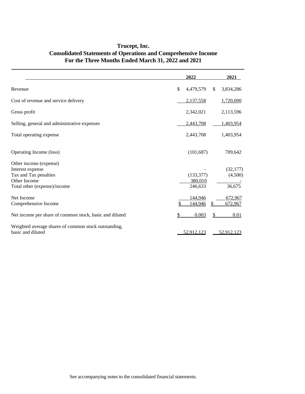|                                                                                                                     | 2022                             | 2021                           |
|---------------------------------------------------------------------------------------------------------------------|----------------------------------|--------------------------------|
| Revenue                                                                                                             | 4,479,579<br>\$                  | 3,834,286<br><sup>\$</sup>     |
| Cost of revenue and service delivery                                                                                | 2,137,558                        | 1,720,690                      |
| Gross profit                                                                                                        | 2,342,021                        | 2,113,596                      |
| Selling, general and administrative expenses                                                                        | 2,443,708                        | 1,403,954                      |
| Total operating expense                                                                                             | 2,443,708                        | 1,403,954                      |
| Operating Income (loss)                                                                                             | (101, 687)                       | 709,642                        |
| Other income (expense)<br>Interest expense<br>Tax and Tax penalties<br>Other Income<br>Total other (expense)/income | (133, 377)<br>380,010<br>246,633 | (32, 177)<br>(4,500)<br>36,675 |
| Net Income<br>Comprehensive Income                                                                                  | 144,946<br>144,946               | 672,967<br>672,967             |
| Net income per share of common stock, basic and diluted                                                             | \$<br>0.003                      | 0.01<br>S                      |
| Weighted average shares of common stock outstanding,<br>basic and diluted                                           | 52,912,123                       | 52,912,123                     |

# **Trucept, Inc. Consolidated Statements of Operations and Comprehensive Income For the Three Months Ended March 31, 2022 and 2021**

l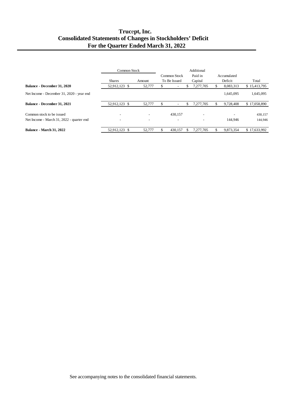# **Truc**e**pt, Inc. Consolidated Statements of Changes in Stockholders' Deficit For the Quarter Ended March 31, 2022**

|                                           | Common Stock  |                          |    |                          |   | Additional |   |             |              |
|-------------------------------------------|---------------|--------------------------|----|--------------------------|---|------------|---|-------------|--------------|
|                                           |               |                          |    | Common Stock             |   | Paid in    |   | Accumulated |              |
|                                           | <b>Shares</b> | Amount                   |    | To Be Issued             |   | Capital    |   | Deficit     | Total        |
| Balance - December 31, 2020               | 52,912,123 \$ | 52,777                   | S  | $\overline{\phantom{a}}$ |   | 7,277,705  |   | 8,083,313   | \$15,413,795 |
| Net Income - December 31, 2020 - year end |               |                          |    |                          |   |            |   | 1.645.095   | 1,645,095    |
| Balance - December 31, 2021               | 52,912,123 \$ | 52,777                   | \$ | -                        | S | 7,277,705  |   | 9.728.408   | \$17,058,890 |
| Common stock to be issued                 |               |                          |    | 430.157                  |   |            |   |             | 430,157      |
| Net Income - March 31, 2022 - quarter end | -             | $\overline{\phantom{a}}$ |    | $\overline{\phantom{a}}$ |   |            |   | 144.946     | 144,946      |
| <b>Balance - March 31, 2022</b>           | 52.912.123 \$ | 52,777                   |    | 430.157                  |   | 7.277.705  | S | 9,873,354   | \$17,633,992 |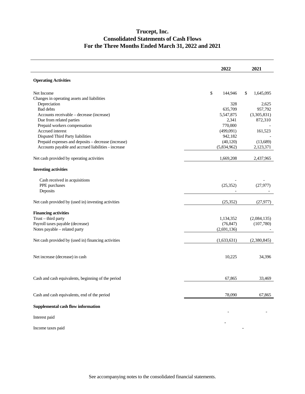# **Trucept, Inc. Consolidated Statements of Cash Flows For the Three Months Ended March 31, 2022 and 2021**

|                                                     | 2022          | 2021            |
|-----------------------------------------------------|---------------|-----------------|
| <b>Operating Activities</b>                         |               |                 |
| Net Income                                          | \$<br>144,946 | \$<br>1,645,095 |
| Changes in operating assets and liabilities         |               |                 |
| Depreciation                                        | 328           | 2,625           |
| <b>Bad debts</b>                                    | 635,709       | 957,792         |
| Accounts receivable - decrease (increase)           | 5,547,875     | (3,305,831)     |
| Due from related parties                            | 2,341         | 872,310         |
| Prepaid workers compensation                        | 770,000       |                 |
| Accrued interest                                    | (499,091)     | 161,523         |
| Disputed Third Party liabilities                    | 942,182       |                 |
| Prepaid expenses and deposits - decrease (increase) | (40, 120)     | (13,689)        |
| Accounts payable and accrued liabilities - increase | (5,834,962)   | 2,123,371       |
| Net cash provided by operating activities           | 1,669,208     | 2,437,965       |
| <b>Investing activities</b>                         |               |                 |
| Cash received in acquisitions                       |               |                 |
| PPE purchases                                       | (25, 352)     | (27, 977)       |
| Deposits                                            |               |                 |
| Net cash provided by (used in) investing activities | (25, 352)     | (27, 977)       |
| <b>Financing activities</b>                         |               |                 |
| Trust - third party                                 | 1,134,352     | (2,084,135)     |
| Payroll taxes payable (decrease)                    | (76, 847)     | (107,780)       |
| Notes payable - related party                       | (2,691,136)   |                 |
| Net cash provided by (used in) financing activities | (1,633,631)   | (2,380,845)     |
| Net increase (decrease) in cash                     | 10,225        | 34,396          |
| Cash and cash equivalents, beginning of the period  | 67,865        | 33,469          |
|                                                     |               |                 |
| Cash and cash equivalents, end of the period        | 78,090        | 67,865          |
| <b>Supplemental cash flow information</b>           |               |                 |
| Interest paid                                       |               |                 |
| Income taxes paid                                   |               |                 |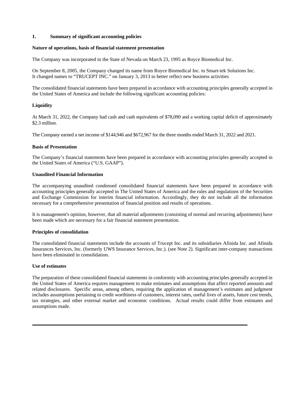## **1. Summary of significant accounting policies**

#### **Nature of operations, basis of financial statement presentation**

The Company was incorporated in the State of Nevada on March 23, 1995 as Royce Biomedical Inc.

On September 8, 2005, the Company changed its name from Royce Biomedical Inc. to Smart-tek Solutions Inc. It changed names to "TRUCEPT INC." on January 3, 2013 to better reflect new business activities

The consolidated financial statements have been prepared in accordance with accounting principles generally accepted in the United States of America and include the following significant accounting policies:

# **Liquidity**

At March 31, 2022, the Company had cash and cash equivalents of \$78,090 and a working capital deficit of approximately \$2.3 million.

The Company earned a net income of \$144,946 and \$672,967 for the three months ended March 31, 2022 and 2021.

## **Basis of Presentation**

The Company's financial statements have been prepared in accordance with accounting principles generally accepted in the United States of America ("U.S. GAAP").

# **Unaudited Financial Information**

The accompanying unaudited condensed consolidated financial statements have been prepared in accordance with accounting principles generally accepted in The United States of America and the rules and regulations of the Securities and Exchange Commission for interim financial information. Accordingly, they do not include all the information necessary for a comprehensive presentation of financial position and results of operations.

It is management's opinion, however, that all material adjustments (consisting of normal and recurring adjustments) have been made which are necessary for a fair financial statement presentation.

# **Principles of consolidation**

The consolidated financial statements include the accounts of Trucept Inc. and its subsidiaries Afinida Inc. and Afinida Insurances Services, Inc. (formerly UWS Insurance Services, Inc.). (see Note 2). Significant inter-company transactions have been eliminated in consolidation.

# **Use of estimates**

The preparation of these consolidated financial statements in conformity with accounting principles generally accepted in the United States of America requires management to make estimates and assumptions that affect reported amounts and related disclosures. Specific areas, among others, requiring the application of management's estimates and judgment includes assumptions pertaining to credit worthiness of customers, interest rates, useful lives of assets, future cost trends, tax strategies, and other external market and economic conditions. Actual results could differ from estimates and assumptions made.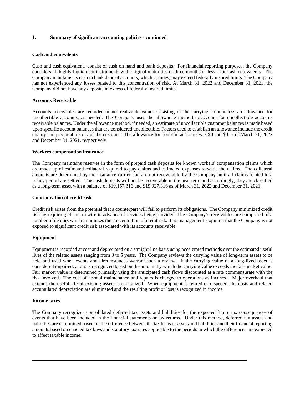#### **Cash and equivalents**

Cash and cash equivalents consist of cash on hand and bank deposits. For financial reporting purposes, the Company considers all highly liquid debt instruments with original maturities of three months or less to be cash equivalents. The Company maintains its cash in bank deposit accounts, which at times, may exceed federally insured limits. The Company has not experienced any losses related to this concentration of risk. At March 31, 2022 and December 31, 2021, the Company did not have any deposits in excess of federally insured limits.

#### **Accounts Receivable**

Accounts receivables are recorded at net realizable value consisting of the carrying amount less an allowance for uncollectible accounts, as needed. The Company uses the allowance method to account for uncollectible accounts receivable balances. Under the allowance method, if needed, an estimate of uncollectible customer balances is made based upon specific account balances that are considered uncollectible. Factors used to establish an allowance include the credit quality and payment history of the customer. The allowance for doubtful accounts was \$0 and \$0 as of March 31, 2022 and December 31, 2021, respectively.

#### **Workers compensation insurance**

The Company maintains reserves in the form of prepaid cash deposits for known workers' compensation claims which are made up of estimated collateral required to pay claims and estimated expenses to settle the claims. The collateral amounts are determined by the insurance carrier and are not recoverable by the Company until all claims related to a policy period are settled. The cash deposits will not be recoverable in the near term and accordingly, they are classified as a long-term asset with a balance of \$19,157,316 and \$19,927,316 as of March 31, 2022 and December 31, 2021.

#### **Concentration of credit risk**

Credit risk arises from the potential that a counterpart will fail to perform its obligations. The Company minimized credit risk by requiring clients to wire in advance of services being provided. The Company's receivables are comprised of a number of debtors which minimizes the concentration of credit risk. It is management's opinion that the Company is not exposed to significant credit risk associated with its accounts receivable.

# **Equipment**

Equipment is recorded at cost and depreciated on a straight-line basis using accelerated methods over the estimated useful lives of the related assets ranging from 3 to 5 years. The Company reviews the carrying value of long-term assets to be held and used when events and circumstances warrant such a review. If the carrying value of a long-lived asset is considered impaired, a loss is recognized based on the amount by which the carrying value exceeds the fair market value. Fair market value is determined primarily using the anticipated cash flows discounted at a rate commensurate with the risk involved. The cost of normal maintenance and repairs is charged to operations as incurred. Major overhaul that extends the useful life of existing assets is capitalized. When equipment is retired or disposed, the costs and related accumulated depreciation are eliminated and the resulting profit or loss is recognized in income.

#### **Income taxes**

The Company recognizes consolidated deferred tax assets and liabilities for the expected future tax consequences of events that have been included in the financial statements or tax returns. Under this method, deferred tax assets and liabilities are determined based on the difference between the tax basis of assets and liabilities and their financial reporting amounts based on enacted tax laws and statutory tax rates applicable to the periods in which the differences are expected to affect taxable income.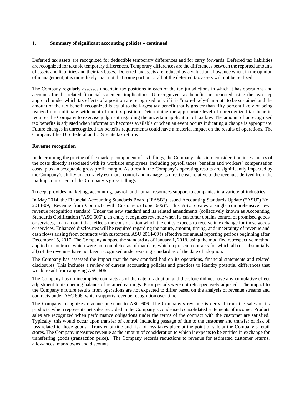Deferred tax assets are recognized for deductible temporary differences and for carry forwards. Deferred tax liabilities are recognized for taxable temporary differences. Temporary differences are the differences between the reported amounts of assets and liabilities and their tax bases. Deferred tax assets are reduced by a valuation allowance when, in the opinion of management, it is more likely than not that some portion or all of the deferred tax assets will not be realized.

The Company regularly assesses uncertain tax positions in each of the tax jurisdictions in which it has operations and accounts for the related financial statement implications. Unrecognized tax benefits are reported using the two-step approach under which tax effects of a position are recognized only if it is "more-likely-than-not" to be sustained and the amount of the tax benefit recognized is equal to the largest tax benefit that is greater than fifty percent likely of being realized upon ultimate settlement of the tax position. Determining the appropriate level of unrecognized tax benefits requires the Company to exercise judgment regarding the uncertain application of tax law. The amount of unrecognized tax benefits is adjusted when information becomes available or when an event occurs indicating a change is appropriate. Future changes in unrecognized tax benefits requirements could have a material impact on the results of operations. The Company files U.S. federal and U.S. state tax returns.

## **Revenue recognition**

In determining the pricing of the markup component of its billings, the Company takes into consideration its estimates of the costs directly associated with its worksite employees, including payroll taxes, benefits and workers' compensation costs, plus an acceptable gross profit margin. As a result, the Company's operating results are significantly impacted by the Company's ability to accurately estimate, control and manage its direct costs relative to the revenues derived from the markup component of the Company's gross billings.

Trucept provides marketing, accounting, payroll and human resources support to companies in a variety of industries.

In May 2014, the Financial Accounting Standards Board ("FASB") issued Accounting Standards Update ("ASU") No. 2014-09, "Revenue from Contracts with Customers (Topic 606)". This ASU creates a single comprehensive new revenue recognition standard. Under the new standard and its related amendments (collectively known as Accounting Standards Codification ("ASC 606"), an entity recognizes revenue when its customer obtains control of promised goods or services, in an amount that reflects the consideration which the entity expects to receive in exchange for those goods or services. Enhanced disclosures will be required regarding the nature, amount, timing, and uncertainty of revenue and cash flows arising from contracts with customers. ASU 2014-09 is effective for annual reporting periods beginning after December 15, 2017. The Company adopted the standard as of January 1, 2018, using the modified retrospective method applied to contracts which were not completed as of that date, which represent contracts for which all (or substantially all) of the revenues have not been recognized under existing standard as of the date of adoption.

The Company has assessed the impact that the new standard had on its operations, financial statements and related disclosures. This includes a review of current accounting policies and practices to identify potential differences that would result from applying ASC 606.

The Company has no incomplete contracts as of the date of adoption and therefore did not have any cumulative effect adjustment to its opening balance of retained earnings. Prior periods were not retrospectively adjusted. The impact to the Company's future results from operations are not expected to differ based on the analysis of revenue streams and contracts under ASC 606, which supports revenue recognition over time.

The Company recognizes revenue pursuant to ASC 606. The Company's revenue is derived from the sales of its products, which represents net sales recorded in the Company's condensed consolidated statements of income. Product sales are recognized when performance obligations under the terms of the contract with the customer are satisfied. Typically, this would occur upon transfer of control, including passage of title to the customer and transfer of risk of loss related to those goods. Transfer of title and risk of loss takes place at the point of sale at the Company's retail stores. The Company measures revenue as the amount of consideration to which it expects to be entitled in exchange for transferring goods (transaction price). The Company records reductions to revenue for estimated customer returns, allowances, markdowns and discounts.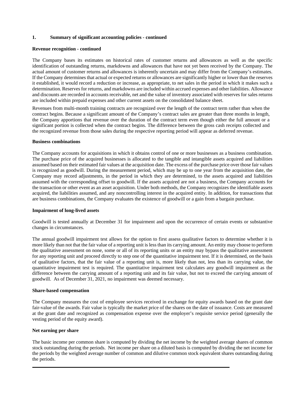#### **Revenue recognition - continued**

The Company bases its estimates on historical rates of customer returns and allowances as well as the specific identification of outstanding returns, markdowns and allowances that have not yet been received by the Company. The actual amount of customer returns and allowances is inherently uncertain and may differ from the Company's estimates. If the Company determines that actual or expected returns or allowances are significantly higher or lower than the reserves it established, it would record a reduction or increase, as appropriate, to net sales in the period in which it makes such a determination. Reserves for returns, and markdowns are included within accrued expenses and other liabilities. Allowance and discounts are recorded in accounts receivable, net and the value of inventory associated with reserves for sales returns are included within prepaid expenses and other current assets on the consolidated balance sheet.

Revenues from multi-month training contracts are recognized over the length of the contract term rather than when the contract begins. Because a significant amount of the Company's contract sales are greater than three months in length, the Company apportions that revenue over the duration of the contract term even though either the full amount or a significant portion is collected when the contract begins. The difference between the gross cash receipts collected and the recognized revenue from those sales during the respective reporting period will appear as deferred revenue.

#### **Business combinations**

The Company accounts for acquisitions in which it obtains control of one or more businesses as a business combination. The purchase price of the acquired businesses is allocated to the tangible and intangible assets acquired and liabilities assumed based on their estimated fair values at the acquisition date. The excess of the purchase price over those fair values is recognized as goodwill. During the measurement period, which may be up to one year from the acquisition date, the Company may record adjustments, in the period in which they are determined, to the assets acquired and liabilities assumed with the corresponding offset to goodwill. If the assets acquired are not a business, the Company accounts for the transaction or other event as an asset acquisition. Under both methods, the Company recognizes the identifiable assets acquired, the liabilities assumed, and any noncontrolling interest in the acquired entity. In addition, for transactions that are business combinations, the Company evaluates the existence of goodwill or a gain from a bargain purchase.

### **Impairment of long-lived assets**

Goodwill is tested annually at December 31 for impairment and upon the occurrence of certain events or substantive changes in circumstances.

The annual goodwill impairment test allows for the option to first assess qualitative factors to determine whether it is more likely than not that the fair value of a reporting unit is less than its carrying amount. An entity may choose to perform the qualitative assessment on none, some or all of its reporting units or an entity may bypass the qualitative assessment for any reporting unit and proceed directly to step one of the quantitative impairment test. If it is determined, on the basis of qualitative factors, that the fair value of a reporting unit is, more likely than not, less than its carrying value, the quantitative impairment test is required. The quantitative impairment test calculates any goodwill impairment as the difference between the carrying amount of a reporting unit and its fair value, but not to exceed the carrying amount of goodwill. As of December 31, 2021, no impairment was deemed necessary.

#### **Share-based compensation**

The Company measures the cost of employee services received in exchange for equity awards based on the grant date fair-value of the awards. Fair value is typically the market price of the shares on the date of issuance. Costs are measured at the grant date and recognized as compensation expense over the employer's requisite service period (generally the vesting period of the equity award).

#### **Net earning per share**

The basic income per common share is computed by dividing the net income by the weighted average shares of common stock outstanding during the periods. Net income per share on a diluted basis is computed by dividing the net income for the periods by the weighted average number of common and dilutive common stock equivalent shares outstanding during the periods.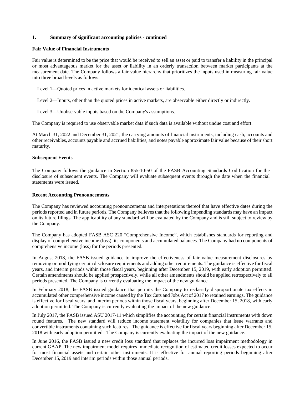#### **Fair Value of Financial Instruments**

Fair value is determined to be the price that would be received to sell an asset or paid to transfer a liability in the principal or most advantageous market for the asset or liability in an orderly transaction between market participants at the measurement date. The Company follows a fair value hierarchy that prioritizes the inputs used in measuring fair value into three broad levels as follows:

Level 1—Quoted prices in active markets for identical assets or liabilities.

Level 2—Inputs, other than the quoted prices in active markets, are observable either directly or indirectly.

Level 3—Unobservable inputs based on the Company's assumptions.

The Company is required to use observable market data if such data is available without undue cost and effort.

At March 31, 2022 and December 31, 2021, the carrying amounts of financial instruments, including cash, accounts and other receivables, accounts payable and accrued liabilities, and notes payable approximate fair value because of their short maturity.

#### **Subsequent Events**

The Company follows the guidance in Section 855-10-50 of the FASB Accounting Standards Codification for the disclosure of subsequent events. The Company will evaluate subsequent events through the date when the financial statements were issued.

#### **Recent Accounting Pronouncements**

The Company has reviewed accounting pronouncements and interpretations thereof that have effective dates during the periods reported and in future periods. The Company believes that the following impending standards may have an impact on its future filings. The applicability of any standard will be evaluated by the Company and is still subject to review by the Company.

The Company has adopted FASB ASC 220 "Comprehensive Income", which establishes standards for reporting and display of comprehensive income (loss), its components and accumulated balances. The Company had no components of comprehensive income (loss) for the periods presented.

In August 2018, the FASB issued guidance to improve the effectiveness of fair value measurement disclosures by removing or modifying certain disclosure requirements and adding other requirements. The guidance is effective for fiscal years, and interim periods within those fiscal years, beginning after December 15, 2019, with early adoption permitted. Certain amendments should be applied prospectively, while all other amendments should be applied retrospectively to all periods presented. The Company is currently evaluating the impact of the new guidance.

In February 2018, the FASB issued guidance that permits the Company to reclassify disproportionate tax effects in accumulated other comprehensive income caused by the Tax Cuts and Jobs Act of 2017 to retained earnings. The guidance is effective for fiscal years, and interim periods within those fiscal years, beginning after December 15, 2018, with early adoption permitted. The Company is currently evaluating the impact of the new guidance.

In July 2017, the FASB issued ASU 2017-11 which simplifies the accounting for certain financial instruments with down round features. The new standard will reduce income statement volatility for companies that issue warrants and convertible instruments containing such features. The guidance is effective for fiscal years beginning after December 15, 2018 with early adoption permitted. The Company is currently evaluating the impact of the new guidance.

In June 2016, the FASB issued a new credit loss standard that replaces the incurred loss impairment methodology in current GAAP. The new impairment model requires immediate recognition of estimated credit losses expected to occur for most financial assets and certain other instruments. It is effective for annual reporting periods beginning after December 15, 2019 and interim periods within those annual periods.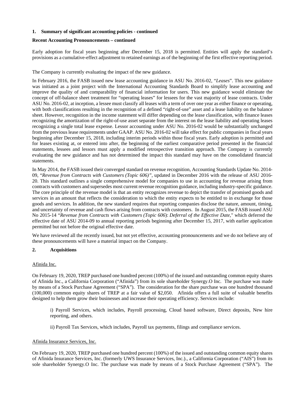# **Recent Accounting Pronouncements – continued**

Early adoption for fiscal years beginning after December 15, 2018 is permitted. Entities will apply the standard's provisions as a cumulative-effect adjustment to retained earnings as of the beginning of the first effective reporting period.

The Company is currently evaluating the impact of the new guidance.

In February 2016, the FASB issued new lease accounting guidance in ASU No. 2016-02, "*Leases*". This new guidance was initiated as a joint project with the International Accounting Standards Board to simplify lease accounting and improve the quality of and comparability of financial information for users. This new guidance would eliminate the concept of off-balance sheet treatment for "operating leases" for lessees for the vast majority of lease contracts. Under ASU No. 2016-02, at inception, a lessee must classify all leases with a term of over one year as either finance or operating, with both classifications resulting in the recognition of a defined "right-of-use" asset and a lease liability on the balance sheet. However, recognition in the income statement will differ depending on the lease classification, with finance leases recognizing the amortization of the right-of-use asset separate from the interest on the lease liability and operating leases recognizing a single total lease expense. Lessor accounting under ASU No. 2016-02 would be substantially unchanged from the previous lease requirements under GAAP. ASU No. 2016-02 will take effect for public companies in fiscal years beginning after December 15, 2018, including interim periods within those fiscal years. Early adoption is permitted and for leases existing at, or entered into after, the beginning of the earliest comparative period presented in the financial statements, lessees and lessors must apply a modified retrospective transition approach. The Company is currently evaluating the new guidance and has not determined the impact this standard may have on the consolidated financial statements.

In May 2014, the FASB issued their converged standard on revenue recognition, Accounting Standards Update No. 2014- 09, "*Revenue from Contracts with Customers (Topic 606)"*, updated in December 2016 with the release of ASU 2016- 20. This standard outlines a single comprehensive model for companies to use in accounting for revenue arising from contracts with customers and supersedes most current revenue recognition guidance, including industry-specific guidance. The core principle of the revenue model is that an entity recognizes revenue to depict the transfer of promised goods and services in an amount that reflects the consideration to which the entity expects to be entitled to in exchange for those goods and services. In addition, the new standard requires that reporting companies disclose the nature, amount, timing, and uncertainty of revenue and cash flows arising from contracts with customers. In August 2015, the FASB issued ASU No 2015-14 "*Revenue from Contracts with Customers (Topic 606*): *Deferral of the Effective Date,*" which deferred the effective date of ASU 2014-09 to annual reporting periods beginning after December 15, 2017, with earlier application permitted but not before the original effective date.

We have reviewed all the recently issued, but not yet effective, accounting pronouncements and we do not believe any of these pronouncements will have a material impact on the Company.

# **2. Acquisitions**

#### Afinida Inc.

On February 19, 2020, TREP purchased one hundred percent (100%) of the issued and outstanding common equity shares of Afinida Inc., a California Corporation ("Afinida") from its sole shareholder Synergy.O Inc. The purchase was made by means of a Stock Purchase Agreement ("SPA"). The consideration for the share purchase was one hundred thousand (100,000) common equity shares of TREP at a fair value of \$2,050. Afinida offers a full suite of valuable benefits designed to help them grow their businesses and increase their operating efficiency. Services include:

i) Payroll Services, which includes, Payroll processing, Cloud based software, Direct deposits, New hire reporting, and others.

ii) Payroll Tax Services, which includes, Payroll tax payments, filings and compliance services.

# Afinida Insurance Services, Inc.

On February 19, 2020, TREP purchased one hundred percent (100%) of the issued and outstanding common equity shares of Afinida Insurance Services, Inc. (formerly UWS Insurance Services, Inc.)., a California Corporation ("AIS") from its sole shareholder Synergy.O Inc. The purchase was made by means of a Stock Purchase Agreement ("SPA"). The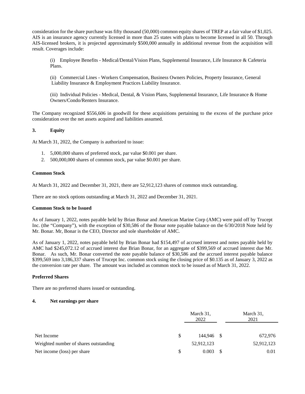consideration for the share purchase was fifty thousand (50,000) common equity shares of TREP at a fair value of \$1,025. AIS is an insurance agency currently licensed in more than 25 states with plans to become licensed in all 50. Through AIS-licensed brokers, it is projected approximately \$500,000 annually in additional revenue from the acquisition will result. Coverages include:

(i) Employee Benefits - Medical/Dental/Vision Plans, Supplemental Insurance, Life Insurance & Cafeteria Plans.

(ii) Commercial Lines - Workers Compensation, Business Owners Policies, Property Insurance, General Liability Insurance & Employment Practices Liability Insurance.

(iii) Individual Policies - Medical, Dental, & Vision Plans, Supplemental Insurance, Life Insurance & Home Owners/Condo/Renters Insurance.

The Company recognized \$556,606 in goodwill for these acquisitions pertaining to the excess of the purchase price consideration over the net assets acquired and liabilities assumed.

## **3. Equity**

At March 31, 2022, the Company is authorized to issue:

- 1. 5,000,000 shares of preferred stock, par value \$0.001 per share.
- 2. 500,000,000 shares of common stock, par value \$0.001 per share.

#### **Common Stock**

At March 31, 2022 and December 31, 2021, there are 52,912,123 shares of common stock outstanding.

There are no stock options outstanding at March 31, 2022 and December 31, 2021.

#### **Common Stock to be Issued**

As of January 1, 2022, notes payable held by Brian Bonar and American Marine Corp (AMC) were paid off by Trucept Inc. (the "Company"), with the exception of \$30,586 of the Bonar note payable balance on the 6/30/2018 Note held by Mr. Bonar. Mr, Bonar is the CEO, Director and sole shareholder of AMC.

As of January 1, 2022, notes payable held by Brian Bonar had \$154,497 of accrued interest and notes payable held by AMC had \$245,072.12 of accrued interest due Brian Bonar, for an aggregate of \$399,569 of accrued interest due Mr. Bonar. As such, Mr. Bonar converted the note payable balance of \$30,586 and the accrued interest payable balance \$399,569 into 3,186,337 shares of Trucept Inc. common stock using the closing price of \$0.135 as of January 3, 2022 as the conversion rate per share. The amount was included as common stock to be issued as of March 31, 2022.

#### **Preferred Shares**

There are no preferred shares issued or outstanding.

# **4. Net earnings per share**

|                                       |   | March 31,<br>2022 |          | March 31,<br>2021 |  |  |
|---------------------------------------|---|-------------------|----------|-------------------|--|--|
| Net Income                            | S | 144.946 \$        |          | 672,976           |  |  |
| Weighted number of shares outstanding |   | 52,912,123        |          | 52,912,123        |  |  |
| Net income (loss) per share           |   | 0.003             | <b>S</b> | 0.01              |  |  |